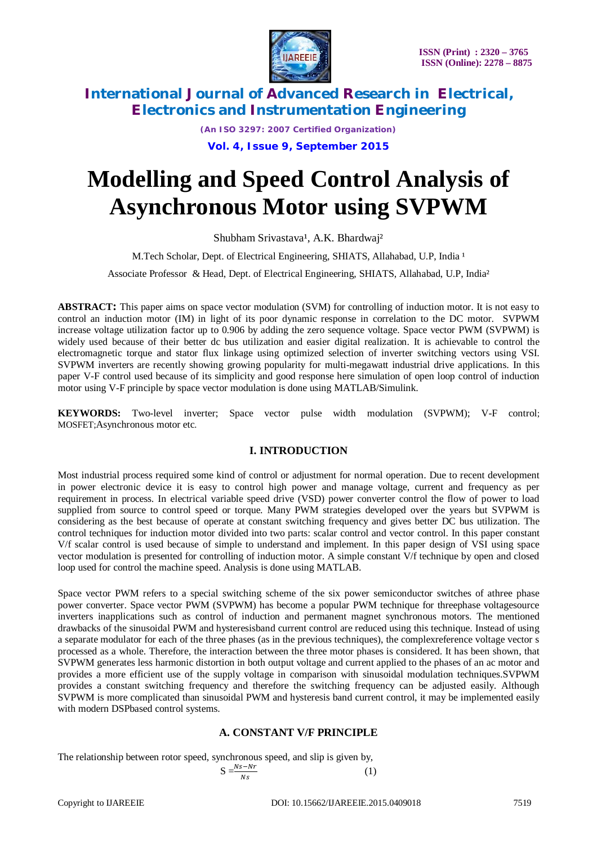

*(An ISO 3297: 2007 Certified Organization)* **Vol. 4, Issue 9, September 2015**

# **Modelling and Speed Control Analysis of Asynchronous Motor using SVPWM**

Shubham Srivastava<sup>1</sup>, A.K. Bhardwaj<sup>2</sup>

M.Tech Scholar, Dept. of Electrical Engineering, SHIATS, Allahabad, U.P, India <sup>1</sup>

Associate Professor & Head, Dept. of Electrical Engineering, SHIATS, Allahabad, U.P, India²

**ABSTRACT:** This paper aims on space vector modulation (SVM) for controlling of induction motor. It is not easy to control an induction motor (IM) in light of its poor dynamic response in correlation to the DC motor. SVPWM increase voltage utilization factor up to 0.906 by adding the zero sequence voltage. Space vector PWM (SVPWM) is widely used because of their better dc bus utilization and easier digital realization. It is achievable to control the electromagnetic torque and stator flux linkage using optimized selection of inverter switching vectors using VSI. SVPWM inverters are recently showing growing popularity for multi-megawatt industrial drive applications. In this paper V-F control used because of its simplicity and good response here simulation of open loop control of induction motor using V-F principle by space vector modulation is done using MATLAB/Simulink.

**KEYWORDS:** Two-level inverter; Space vector pulse width modulation (SVPWM); V-F control; MOSFET;Asynchronous motor etc.

### **I. INTRODUCTION**

Most industrial process required some kind of control or adjustment for normal operation. Due to recent development in power electronic device it is easy to control high power and manage voltage, current and frequency as per requirement in process. In electrical variable speed drive (VSD) power converter control the flow of power to load supplied from source to control speed or torque. Many PWM strategies developed over the years but SVPWM is considering as the best because of operate at constant switching frequency and gives better DC bus utilization. The control techniques for induction motor divided into two parts: scalar control and vector control. In this paper constant V/f scalar control is used because of simple to understand and implement. In this paper design of VSI using space vector modulation is presented for controlling of induction motor. A simple constant V/f technique by open and closed loop used for control the machine speed. Analysis is done using MATLAB.

Space vector PWM refers to a special switching scheme of the six power semiconductor switches of athree phase power converter. Space vector PWM (SVPWM) has become a popular PWM technique for threephase voltagesource inverters inapplications such as control of induction and permanent magnet synchronous motors. The mentioned drawbacks of the sinusoidal PWM and hysteresisband current control are reduced using this technique. Instead of using a separate modulator for each of the three phases (as in the previous techniques), the complexreference voltage vector s processed as a whole. Therefore, the interaction between the three motor phases is considered. It has been shown, that SVPWM generates less harmonic distortion in both output voltage and current applied to the phases of an ac motor and provides a more efficient use of the supply voltage in comparison with sinusoidal modulation techniques.SVPWM provides a constant switching frequency and therefore the switching frequency can be adjusted easily. Although SVPWM is more complicated than sinusoidal PWM and hysteresis band current control, it may be implemented easily with modern DSPbased control systems.

### **A. CONSTANT V/F PRINCIPLE**

The relationship between rotor speed, synchronous speed, and slip is given by,

$$
S = \frac{Ns - Nr}{Ns}
$$

(1)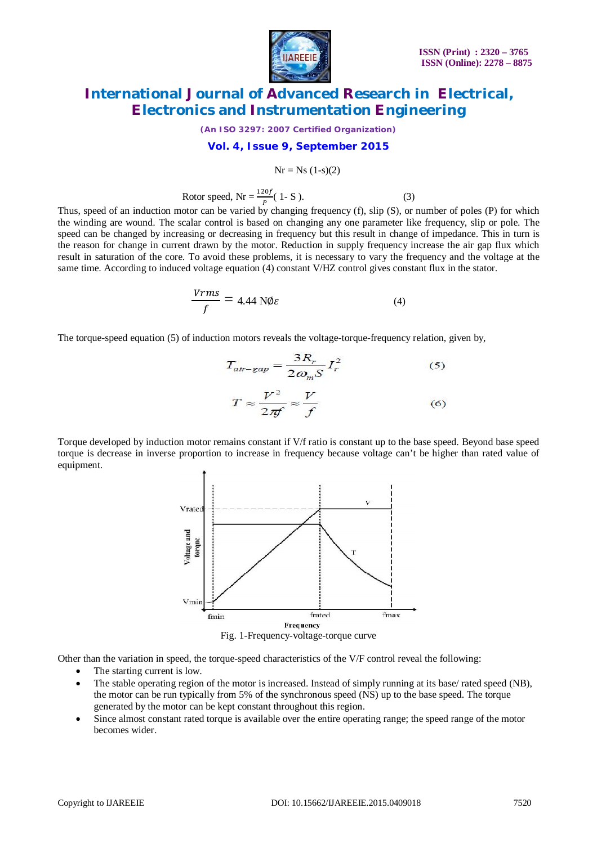

*(An ISO 3297: 2007 Certified Organization)*

#### **Vol. 4, Issue 9, September 2015**

$$
Nr = Ns (1-s)(2)
$$

Rotor speed,  $Nr = \frac{120f}{P} (1-S)$ . (3)

Thus, speed of an induction motor can be varied by changing frequency (f), slip (S), or number of poles (P) for which the winding are wound. The scalar control is based on changing any one parameter like frequency, slip or pole. The speed can be changed by increasing or decreasing in frequency but this result in change of impedance. This in turn is the reason for change in current drawn by the motor. Reduction in supply frequency increase the air gap flux which result in saturation of the core. To avoid these problems, it is necessary to vary the frequency and the voltage at the same time. According to induced voltage equation (4) constant V/HZ control gives constant flux in the stator.

$$
\frac{Vrms}{f} = 4.44 \text{ NØ}\varepsilon \tag{4}
$$

The torque-speed equation (5) of induction motors reveals the voltage-torque-frequency relation, given by,

$$
T_{air-gap} = \frac{3R_r}{2\omega_m S} I_r^2
$$
 (5)  

$$
T \approx \frac{V^2}{2\pi f} \approx \frac{V}{f}
$$
 (6)

Torque developed by induction motor remains constant if V/f ratio is constant up to the base speed. Beyond base speed torque is decrease in inverse proportion to increase in frequency because voltage can't be higher than rated value of equipment.



Fig. 1-Frequency-voltage-torque curve

Other than the variation in speed, the torque-speed characteristics of the V/F control reveal the following:

- The starting current is low.
- The stable operating region of the motor is increased. Instead of simply running at its base/ rated speed (NB), the motor can be run typically from 5% of the synchronous speed (NS) up to the base speed. The torque generated by the motor can be kept constant throughout this region.
- Since almost constant rated torque is available over the entire operating range; the speed range of the motor becomes wider.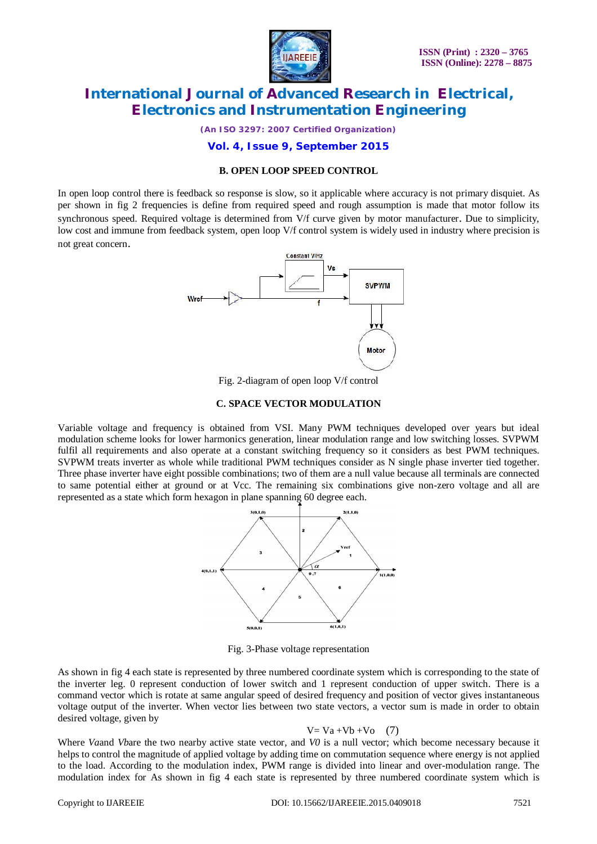

*(An ISO 3297: 2007 Certified Organization)*

#### **Vol. 4, Issue 9, September 2015**

#### **B. OPEN LOOP SPEED CONTROL**

In open loop control there is feedback so response is slow, so it applicable where accuracy is not primary disquiet. As per shown in fig 2 frequencies is define from required speed and rough assumption is made that motor follow its synchronous speed. Required voltage is determined from V/f curve given by motor manufacturer. Due to simplicity, low cost and immune from feedback system, open loop V/f control system is widely used in industry where precision is not great concern.



Fig. 2-diagram of open loop V/f control

#### **C. SPACE VECTOR MODULATION**

Variable voltage and frequency is obtained from VSI. Many PWM techniques developed over years but ideal modulation scheme looks for lower harmonics generation, linear modulation range and low switching losses. SVPWM fulfil all requirements and also operate at a constant switching frequency so it considers as best PWM techniques. SVPWM treats inverter as whole while traditional PWM techniques consider as N single phase inverter tied together. Three phase inverter have eight possible combinations; two of them are a null value because all terminals are connected to same potential either at ground or at Vcc. The remaining six combinations give non-zero voltage and all are represented as a state which form hexagon in plane spanning 60 degree each.



Fig. 3-Phase voltage representation

As shown in fig 4 each state is represented by three numbered coordinate system which is corresponding to the state of the inverter leg. 0 represent conduction of lower switch and 1 represent conduction of upper switch. There is a command vector which is rotate at same angular speed of desired frequency and position of vector gives instantaneous voltage output of the inverter. When vector lies between two state vectors, a vector sum is made in order to obtain desired voltage, given by

$$
V = Va + Vb + Vo \quad (7)
$$

Where *Va*and *Vb*are the two nearby active state vector, and *V0* is a null vector; which become necessary because it helps to control the magnitude of applied voltage by adding time on commutation sequence where energy is not applied to the load. According to the modulation index, PWM range is divided into linear and over-modulation range. The modulation index for As shown in fig 4 each state is represented by three numbered coordinate system which is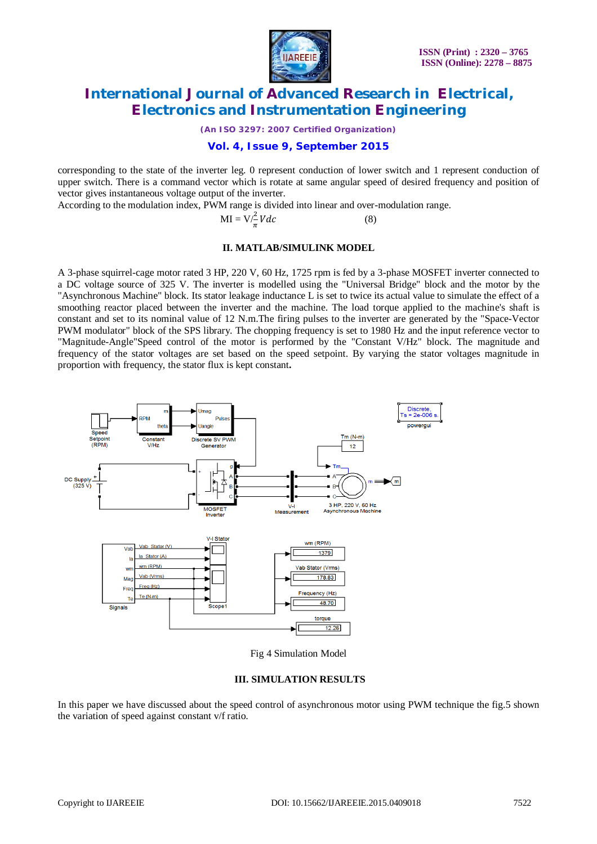

*(An ISO 3297: 2007 Certified Organization)*

### **Vol. 4, Issue 9, September 2015**

corresponding to the state of the inverter leg. 0 represent conduction of lower switch and 1 represent conduction of upper switch. There is a command vector which is rotate at same angular speed of desired frequency and position of vector gives instantaneous voltage output of the inverter.

According to the modulation index, PWM range is divided into linear and over-modulation range.

$$
MI = V/\frac{2}{\pi}Vdc
$$
 (8)

#### **II. MATLAB/SIMULINK MODEL**

A 3-phase squirrel-cage motor rated 3 HP, 220 V, 60 Hz, 1725 rpm is fed by a 3-phase MOSFET inverter connected to a DC voltage source of 325 V. The inverter is modelled using the "Universal Bridge" block and the motor by the "Asynchronous Machine" block. Its stator leakage inductance L is set to twice its actual value to simulate the effect of a smoothing reactor placed between the inverter and the machine. The load torque applied to the machine's shaft is constant and set to its nominal value of 12 N.m.The firing pulses to the inverter are generated by the "Space-Vector PWM modulator" block of the SPS library. The chopping frequency is set to 1980 Hz and the input reference vector to "Magnitude-Angle"Speed control of the motor is performed by the "Constant V/Hz" block. The magnitude and frequency of the stator voltages are set based on the speed setpoint. By varying the stator voltages magnitude in proportion with frequency, the stator flux is kept constant**.**



Fig 4 Simulation Model

#### **III. SIMULATION RESULTS**

In this paper we have discussed about the speed control of asynchronous motor using PWM technique the fig.5 shown the variation of speed against constant v/f ratio.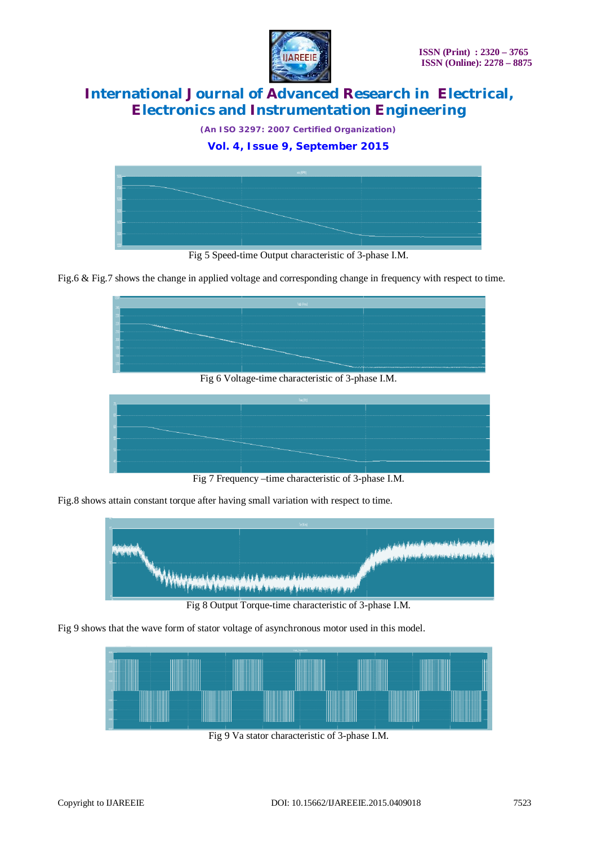

*(An ISO 3297: 2007 Certified Organization)*

### **Vol. 4, Issue 9, September 2015**



Fig 5 Speed-time Output characteristic of 3-phase I.M.

Fig.6 & Fig.7 shows the change in applied voltage and corresponding change in frequency with respect to time.



Fig 6 Voltage-time characteristic of 3-phase I.M.



Fig 7 Frequency –time characteristic of 3-phase I.M.

Fig.8 shows attain constant torque after having small variation with respect to time.



Fig 8 Output Torque-time characteristic of 3-phase I.M.

Fig 9 shows that the wave form of stator voltage of asynchronous motor used in this model.



Fig 9 Va stator characteristic of 3-phase I.M.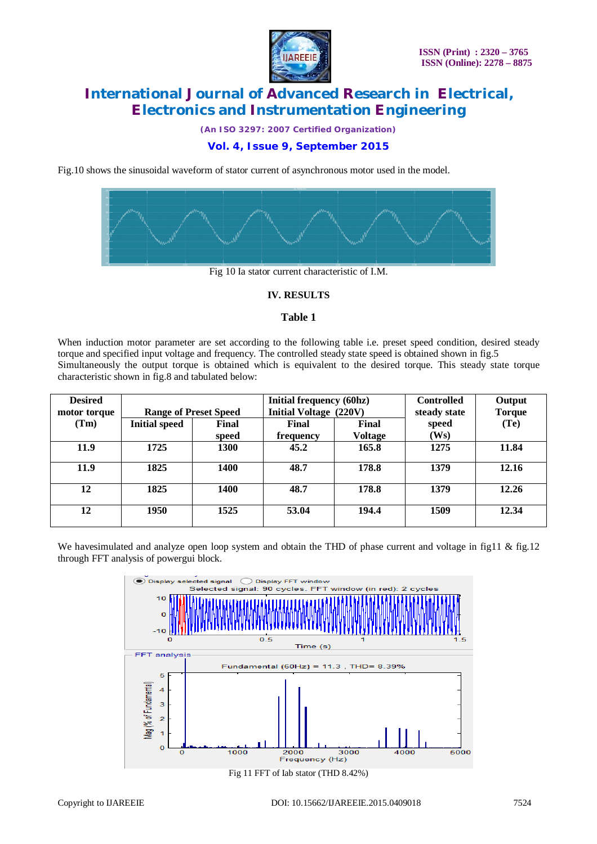

*(An ISO 3297: 2007 Certified Organization)*

### **Vol. 4, Issue 9, September 2015**

Fig.10 shows the sinusoidal waveform of stator current of asynchronous motor used in the model.



Fig 10 Ia stator current characteristic of I.M.

#### **IV. RESULTS**

#### **Table 1**

When induction motor parameter are set according to the following table i.e. preset speed condition, desired steady torque and specified input voltage and frequency. The controlled steady state speed is obtained shown in fig.5 Simultaneously the output torque is obtained which is equivalent to the desired torque. This steady state torque characteristic shown in fig.8 and tabulated below:

| <b>Desired</b> |                              |             | <b>Initial frequency (60hz)</b> |                | <b>Controlled</b> | Output            |
|----------------|------------------------------|-------------|---------------------------------|----------------|-------------------|-------------------|
| motor torque   | <b>Range of Preset Speed</b> |             | Initial Voltage (220V)          |                | steady state      | <b>Torque</b>     |
| (Tm)           | <b>Initial speed</b>         | Final       | Final                           | Final          | speed             | (T <sub>e</sub> ) |
|                |                              | speed       | frequency                       | <b>Voltage</b> | (Ws)              |                   |
| 11.9           | 1725                         | 1300        | 45.2                            | 165.8          | 1275              | 11.84             |
| 11.9           | 1825                         | <b>1400</b> | 48.7                            | 178.8          | 1379              | 12.16             |
| 12             | 1825                         | <b>1400</b> | 48.7                            | 178.8          | 1379              | 12.26             |
| 12             | 1950                         | 1525        | 53.04                           | 194.4          | 1509              | 12.34             |

We havesimulated and analyze open loop system and obtain the THD of phase current and voltage in fig11 & fig.12 through FFT analysis of powergui block.